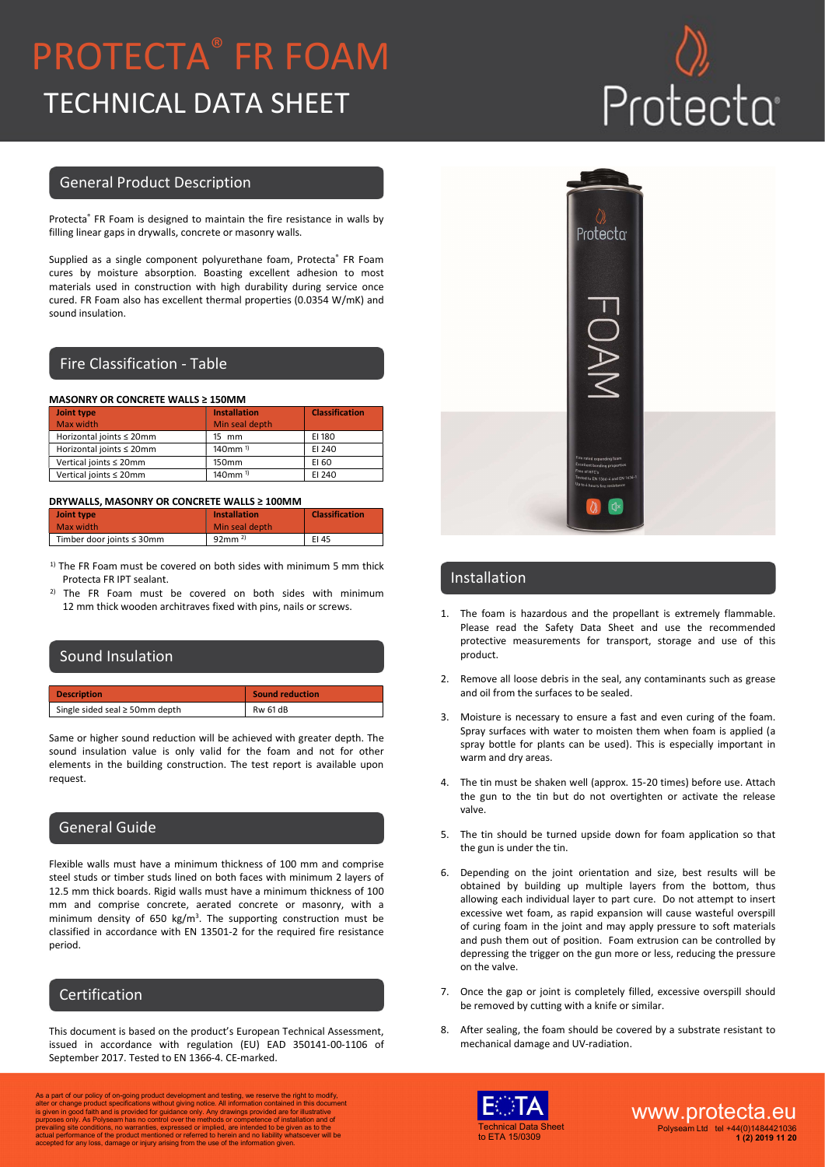## PROTECTA® FR FOAM TECHNICAL DATA SHEET

# Protecta

#### General Product Description

Protecta® FR Foam is designed to maintain the fire resistance in walls by filling linear gaps in drywalls, concrete or masonry walls.

Supplied as a single component polyurethane foam, Protecta® FR Foam cures by moisture absorption. Boasting excellent adhesion to most materials used in construction with high durability during service once cured. FR Foam also has excellent thermal properties (0.0354 W/mK) and sound insulation.

### Fire Classification - Table

#### MASONRY OR CONCRETE WALLS ≥ 150MM

| Joint type               | <b>Installation</b> | <b>Classification</b> |
|--------------------------|---------------------|-----------------------|
| Max width                | Min seal depth      |                       |
| Horizontal joints ≤ 20mm | 15 mm               | EI 180                |
| Horizontal joints ≤ 20mm | $140$ mm $1$        | EI 240                |
| Vertical joints ≤ 20mm   | 150mm               | EI 60                 |
| Vertical joints ≤ 20mm   | 140mm <sup>1)</sup> | EI 240                |

#### DRYWALLS, MASONRY OR CONCRETE WALLS ≥ 100MM

| Joint type                | <b>Installation</b>  | <b>Classification</b> |
|---------------------------|----------------------|-----------------------|
| Max width                 | Min seal depth       |                       |
| Timber door joints ≤ 30mm | $92mm$ <sup>2)</sup> | EI 45                 |

- $1)$  The FR Foam must be covered on both sides with minimum 5 mm thick Protecta FR IPT sealant.
- The FR Foam must be covered on both sides with minimum 12 mm thick wooden architraves fixed with pins, nails or screws.

| Sound Insulation                    |                        |
|-------------------------------------|------------------------|
|                                     |                        |
| <b>Description</b>                  | <b>Sound reduction</b> |
| Single sided seal $\geq$ 50mm depth | <b>Rw 61 dB</b>        |

Same or higher sound reduction will be achieved with greater depth. The sound insulation value is only valid for the foam and not for other elements in the building construction. The test report is available upon request.

### General Guide

Flexible walls must have a minimum thickness of 100 mm and comprise steel studs or timber studs lined on both faces with minimum 2 layers of 12.5 mm thick boards. Rigid walls must have a minimum thickness of 100 mm and comprise concrete, aerated concrete or masonry, with a minimum density of 650 kg/m<sup>3</sup>. The supporting construction must be classified in accordance with EN 13501-2 for the required fire resistance period.

### Certification

This document is based on the product's European Technical Assessment, issued in accordance with regulation (EU) EAD 350141-00-1106 of September 2017. Tested to EN 1366-4. CE-marked.

As a part of our policy of on-going product development and testing, we reserve the right to modify, and<br>alter or change product specifications without giving notice. All information contained in this document<br>is given in



#### Installation

- 1. The foam is hazardous and the propellant is extremely flammable. Please read the Safety Data Sheet and use the recommended protective measurements for transport, storage and use of this product.
- 2. Remove all loose debris in the seal, any contaminants such as grease and oil from the surfaces to be sealed.
- 3. Moisture is necessary to ensure a fast and even curing of the foam. Spray surfaces with water to moisten them when foam is applied (a spray bottle for plants can be used). This is especially important in warm and dry areas.
- 4. The tin must be shaken well (approx. 15-20 times) before use. Attach the gun to the tin but do not overtighten or activate the release valve.
- 5. The tin should be turned upside down for foam application so that the gun is under the tin.
- 6. Depending on the joint orientation and size, best results will be obtained by building up multiple layers from the bottom, thus allowing each individual layer to part cure. Do not attempt to insert excessive wet foam, as rapid expansion will cause wasteful overspill of curing foam in the joint and may apply pressure to soft materials and push them out of position. Foam extrusion can be controlled by depressing the trigger on the gun more or less, reducing the pressure on the valve.
- 7. Once the gap or joint is completely filled, excessive overspill should be removed by cutting with a knife or similar.
- 8. After sealing, the foam should be covered by a substrate resistant to mechanical damage and UV-radiation.